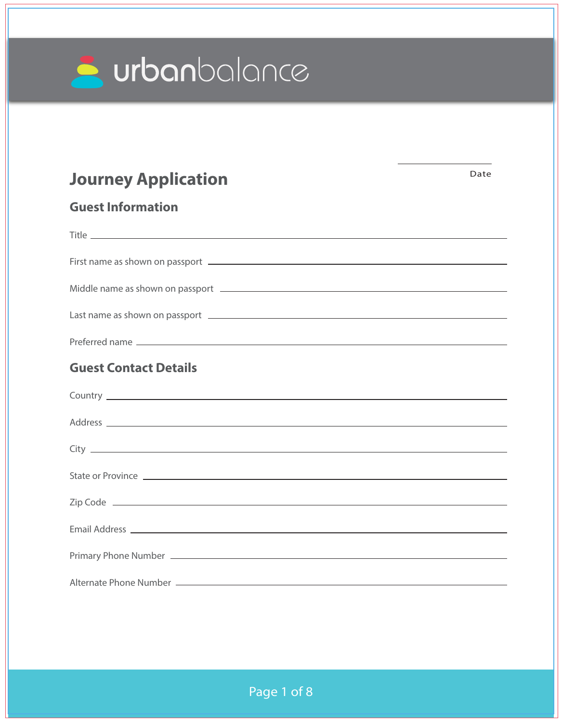

# **Journey Application**

Date

# **Guest Information**

| <b>Guest Contact Details</b>                                                                                                                                                                                                         |
|--------------------------------------------------------------------------------------------------------------------------------------------------------------------------------------------------------------------------------------|
|                                                                                                                                                                                                                                      |
|                                                                                                                                                                                                                                      |
|                                                                                                                                                                                                                                      |
|                                                                                                                                                                                                                                      |
| State or Province <b>contract to the contract of the contract of the contract of the contract of the contract of the contract of the contract of the contract of the contract of the contract of the contract of the contract of</b> |
|                                                                                                                                                                                                                                      |
|                                                                                                                                                                                                                                      |
|                                                                                                                                                                                                                                      |
|                                                                                                                                                                                                                                      |
|                                                                                                                                                                                                                                      |
|                                                                                                                                                                                                                                      |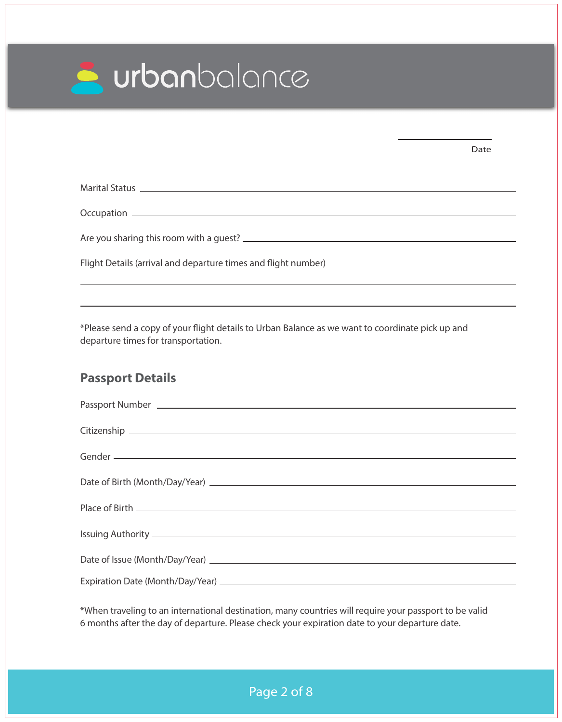

|                                                                                                                          | Date |
|--------------------------------------------------------------------------------------------------------------------------|------|
| Marital Status <u>experience</u> and the contract of the contract of the contract of the contract of the contract of the |      |
|                                                                                                                          |      |
|                                                                                                                          |      |
| Flight Details (arrival and departure times and flight number)                                                           |      |
|                                                                                                                          |      |
|                                                                                                                          |      |

\*Please send a copy of your flight details to Urban Balance as we want to coordinate pick up and departure times for transportation.

## **Passport Details**

| Date of Birth (Month/Day/Year) 2008 2009 2012 2022 2023 2024 2022 2023 2024 2022 2023 2024 2022 2023 2024 2022 |
|----------------------------------------------------------------------------------------------------------------|
|                                                                                                                |
|                                                                                                                |
|                                                                                                                |
|                                                                                                                |
|                                                                                                                |
|                                                                                                                |
|                                                                                                                |
|                                                                                                                |
|                                                                                                                |

\*When traveling to an international destination, many countries will require your passport to be valid 6 months after the day of departure. Please check your expiration date to your departure date.

Page 2 of 8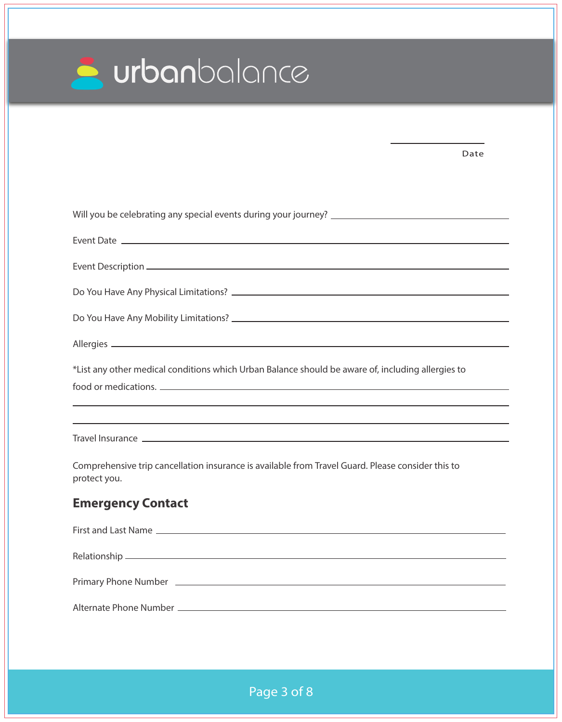| urbanbalance |  |
|--------------|--|
|--------------|--|

| Date                                                                                                              |  |
|-------------------------------------------------------------------------------------------------------------------|--|
|                                                                                                                   |  |
|                                                                                                                   |  |
|                                                                                                                   |  |
|                                                                                                                   |  |
|                                                                                                                   |  |
|                                                                                                                   |  |
|                                                                                                                   |  |
| *List any other medical conditions which Urban Balance should be aware of, including allergies to                 |  |
|                                                                                                                   |  |
|                                                                                                                   |  |
| Comprehensive trip cancellation insurance is available from Travel Guard. Please consider this to<br>protect you. |  |
| <b>Emergency Contact</b>                                                                                          |  |
|                                                                                                                   |  |
|                                                                                                                   |  |
|                                                                                                                   |  |
|                                                                                                                   |  |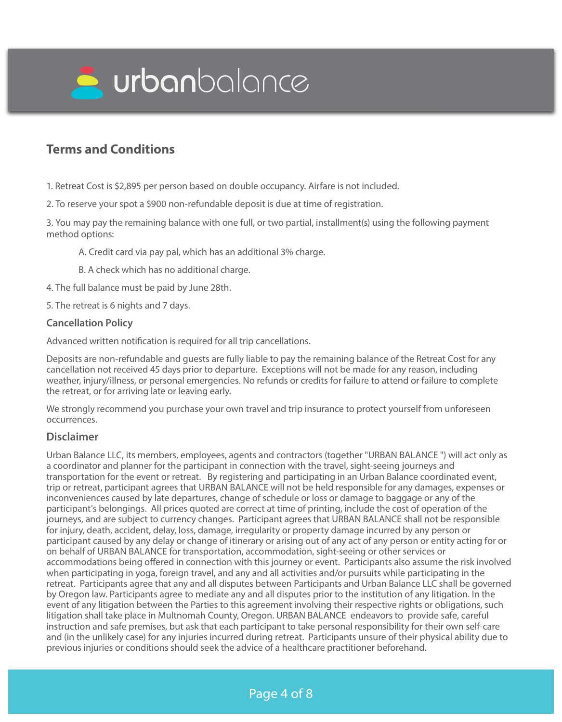

# **Terms and Conditions**

1. Retreat Cost is \$2,895 per person based on double occupancy. Airfare is not included.

2. To reserve your spot a \$900 non-refundable deposit is due at time of registration.

3. You may pay the remaining balance with one full, or two partial, installment(s) using the following payment method options:

A. Credit card via pay pal, which has an additional 3% charge.

B. A check which has no additional charge.

4. The full balance must be paid by June 28th.

5. The retreat is 6 nights and 7 days.

### **Cancellation Policy**

Advanced written notification is required for all trip cancellations.

Deposits are non-refundable and guests are fully liable to pay the remaining balance of the Retreat Cost for any cancellation not received 45 days prior to departure. Exceptions will not be made for any reason, including weather, injury/illness, or personal emergencies. No refunds or credits for failure to attend or failure to complete the retreat, or for arriving late or leaving early.

We strongly recommend you purchase your own travel and trip insurance to protect yourself from unforeseen occurrences.

### **Disclaimer**

Urban Balance LLC, its members, employees, agents and contractors (together "URBAN BALANCE ") will act only as a coordinator and planner for the participant in connection with the travel, sight-seeing journeys and transportation for the event or retreat. By registering and participating in an Urban Balance coordinated event, trip or retreat, participant agrees that URBAN BALANCE will not be held responsible for any damages, expenses or inconveniences caused by late departures, change of schedule or loss or damage to baggage or any of the participant's belongings. All prices quoted are correct at time of printing, include the cost of operation of the journeys, and are subject to currency changes. Participant agrees that URBAN BALANCE shall not be responsible for injury, death, accident, delay, loss, damage, irregularity or property damage incurred by any person or participant caused by any delay or change of itinerary or arising out of any act of any person or entity acting for or on behalf of URBAN BALANCE for transportation, accommodation, sight-seeing or other services or accommodations being offered in connection with this journey or event. Participants also assume the risk involved when participating in yoga, foreign travel, and any and all activities and/or pursuits while participating in the retreat. Participants agree that any and all disputes between Participants and Urban Balance LLC shall be governed by Oregon law. Participants agree to mediate any and all disputes prior to the institution of any litigation. In the event of any litigation between the Parties to this agreement involving their respective rights or obligations, such litigation shall take place in Multnomah County, Oregon. URBAN BALANCE endeavors to provide safe, careful instruction and safe premises, but ask that each participant to take personal responsibility for their own self-care and (in the unlikely case) for any injuries incurred during retreat. Participants unsure of their physical ability due to previous injuries or conditions should seek the advice of a healthcare practitioner beforehand.

### Page 4 of 8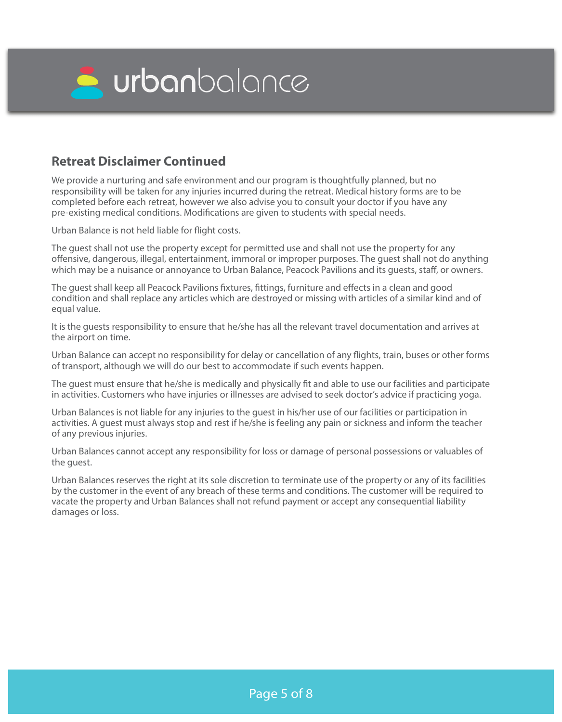

### **Retreat Disclaimer Continued**

We provide a nurturing and safe environment and our program is thoughtfully planned, but no responsibility will be taken for any injuries incurred during the retreat. Medical history forms are to be completed before each retreat, however we also advise you to consult your doctor if you have any pre-existing medical conditions. Modifications are given to students with special needs.

Urban Balance is not held liable for flight costs.

The guest shall not use the property except for permitted use and shall not use the property for any offensive, dangerous, illegal, entertainment, immoral or improper purposes. The quest shall not do anything which may be a nuisance or annoyance to Urban Balance, Peacock Pavilions and its quests, staff, or owners.

The guest shall keep all Peacock Pavilions fixtures, fittings, furniture and effects in a clean and good condition and shall replace any articles which are destroyed or missing with articles of a similar kind and of equal value.

It is the guests responsibility to ensure that he/she has all the relevant travel documentation and arrives at the airport on time.

Urban Balance can accept no responsibility for delay or cancellation of any flights, train, buses or other forms of transport, although we will do our best to accommodate if such events happen.

The quest must ensure that he/she is medically and physically fit and able to use our facilities and participate in activities. Customers who have injuries or illnesses are advised to seek doctor's advice if practicing yoga.

Urban Balances is not liable for any injuries to the guest in his/her use of our facilities or participation in activities. A guest must always stop and rest if he/she is feeling any pain or sickness and inform the teacher of any previous injuries.

Urban Balances cannot accept any responsibility for loss or damage of personal possessions or valuables of the guest.

Urban Balances reserves the right at its sole discretion to terminate use of the property or any of its facilities by the customer in the event of any breach of these terms and conditions. The customer will be required to vacate the property and Urban Balances shall not refund payment or accept any consequential liability damages or loss.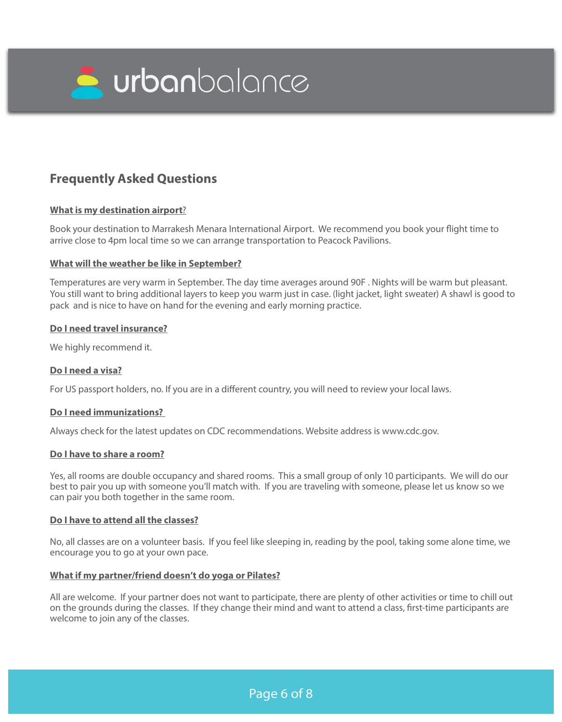

# **Frequently Asked Questions**

### **What is my destination airport**?

Book your destination to Marrakesh Menara International Airport. We recommend you book your flight time to arrive close to 4pm local time so we can arrange transportation to Peacock Pavilions.

### **What will the weather be like in September?**

Temperatures are very warm in September. The day time averages around 90F . Nights will be warm but pleasant. You still want to bring additional layers to keep you warm just in case. (light jacket, light sweater) A shawl is good to pack and is nice to have on hand for the evening and early morning practice.

### **Do I need travel insurance?**

We highly recommend it.

### **Do I need a visa?**

For US passport holders, no. If you are in a different country, you will need to review your local laws.

### **Do I need immunizations?**

Always check for the latest updates on CDC recommendations. Website address is www.cdc.gov.

### **Do I have to share a room?**

Yes, all rooms are double occupancy and shared rooms. This a small group of only 10 participants. We will do our best to pair you up with someone you'll match with. If you are traveling with someone, please let us know so we can pair you both together in the same room.

### **Do I have to attend all the classes?**

No, all classes are on a volunteer basis. If you feel like sleeping in, reading by the pool, taking some alone time, we encourage you to go at your own pace.

#### **What if my partner/friend doesn't do yoga or Pilates?**

All are welcome. If your partner does not want to participate, there are plenty of other activities or time to chill out on the grounds during the classes. If they change their mind and want to attend a class, first-time participants are welcome to join any of the classes.

Page 6 of 8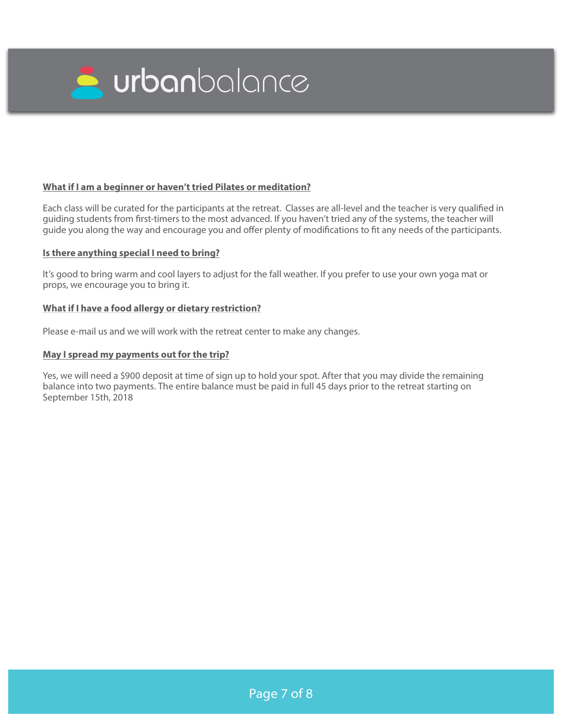

### **What if I am a beginner or haven't tried Pilates or meditation?**

Each class will be curated for the participants at the retreat. Classes are all-level and the teacher is very qualified in guiding students from first-timers to the most advanced. If you haven't tried any of the systems, the teacher will guide you along the way and encourage you and offer plenty of modifications to fit any needs of the participants.

#### **Is there anything special I need to bring?**

It's good to bring warm and cool layers to adjust for the fall weather. If you prefer to use your own yoga mat or props, we encourage you to bring it.

#### **What if I have a food allergy or dietary restriction?**

Please e-mail us and we will work with the retreat center to make any changes.

#### **May I spread my payments out for the trip?**

Yes, we will need a \$900 deposit at time of sign up to hold your spot. After that you may divide the remaining balance into two payments. The entire balance must be paid in full 45 days prior to the retreat starting on September 15th, 2018